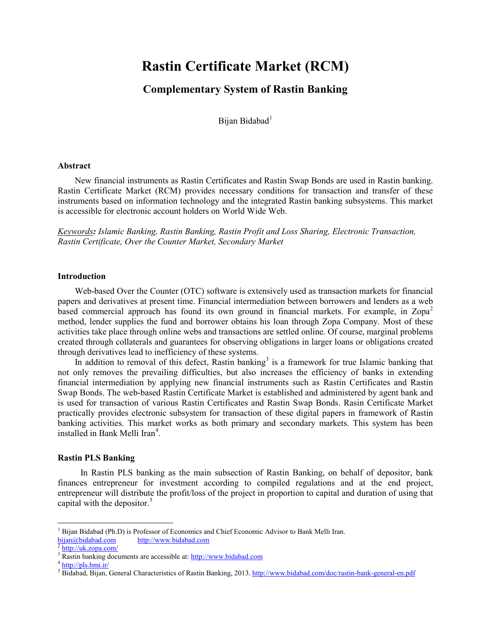# **Rastin Certificate Market (RCM)**

# **Complementary System of Rastin Banking**

Bijan Bidabad<sup>[1](#page-0-0)</sup>

#### **Abstract**

New financial instruments as Rastin Certificates and Rastin Swap Bonds are used in Rastin banking. Rastin Certificate Market (RCM) provides necessary conditions for transaction and transfer of these instruments based on information technology and the integrated Rastin banking subsystems. This market is accessible for electronic account holders on World Wide Web.

*Keywords: Islamic Banking, Rastin Banking, Rastin Profit and Loss Sharing, Electronic Transaction, Rastin Certificate, Over the Counter Market, Secondary Market*

#### **Introduction**

Web-based Over the Counter (OTC) software is extensively used as transaction markets for financial papers and derivatives at present time. Financial intermediation between borrowers and lenders as a web based commercial approach has found its own ground in financial markets. For example, in  $Zopa^2$  $Zopa^2$ method, lender supplies the fund and borrower obtains his loan through Zopa Company. Most of these activities take place through online webs and transactions are settled online. Of course, marginal problems created through collaterals and guarantees for observing obligations in larger loans or obligations created through derivatives lead to inefficiency of these systems.

In addition to removal of this defect, Rastin banking<sup>[3](#page-0-2)</sup> is a framework for true Islamic banking that not only removes the prevailing difficulties, but also increases the efficiency of banks in extending financial intermediation by applying new financial instruments such as Rastin Certificates and Rastin Swap Bonds. The web-based Rastin Certificate Market is established and administered by agent bank and is used for transaction of various Rastin Certificates and Rastin Swap Bonds. Rasin Certificate Market practically provides electronic subsystem for transaction of these digital papers in framework of Rastin banking activities. This market works as both primary and secondary markets. This system has been installed in Bank Melli Iran<sup>[4](#page-0-3)</sup>.

#### **Rastin PLS Banking**

In Rastin PLS banking as the main subsection of Rastin Banking, on behalf of depositor, bank finances entrepreneur for investment according to compiled regulations and at the end project, entrepreneur will distribute the profit/loss of the project in proportion to capital and duration of using that capital with the depositor. $5$ 

l

<span id="page-0-0"></span><sup>1</sup> Bijan Bidabad (Ph.D) is Professor of Economics and Chief Economic Advisor to Bank Melli Iran.

[bijan@bidabad.com](mailto:bijan@bidabad.com) [http://www.bidabad.com](http://www.bidabad.com/) [2](http://uk.zopa.com/) <http://uk.zopa.com/>

<span id="page-0-2"></span><span id="page-0-1"></span><sup>&</sup>lt;sup>3</sup> Rastin banking documents are accessible at: [http://www.bidabad.com](http://www.bidabad.com/) <sup>4</sup> <http://pls.bmi.ir/>

<span id="page-0-4"></span><span id="page-0-3"></span><sup>5</sup> Bidabad, Bijan, General Characteristics of Rastin Banking, 2013[. http://www.bidabad.com/doc/rastin-bank-general-en.pdf](http://www.bidabad.com/doc/rastin-bank-general-en.pdf)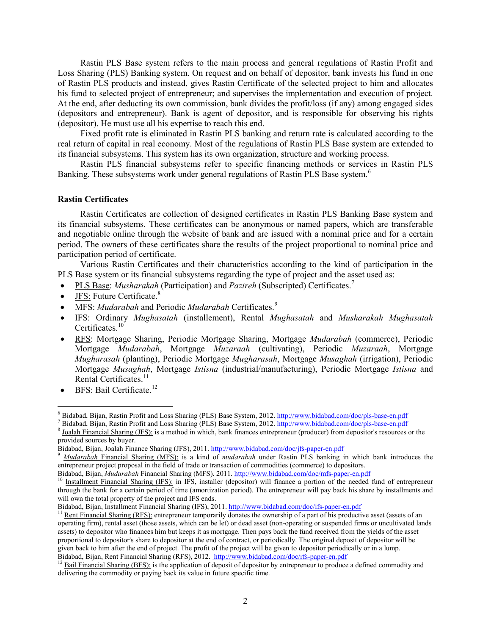Rastin PLS Base system refers to the main process and general regulations of Rastin Profit and Loss Sharing (PLS) Banking system. On request and on behalf of depositor, bank invests his fund in one of Rastin PLS products and instead, gives Rastin Certificate of the selected project to him and allocates his fund to selected project of entrepreneur; and supervises the implementation and execution of project. At the end, after deducting its own commission, bank divides the profit/loss (if any) among engaged sides (depositors and entrepreneur). Bank is agent of depositor, and is responsible for observing his rights (depositor). He must use all his expertise to reach this end.

Fixed profit rate is eliminated in Rastin PLS banking and return rate is calculated according to the real return of capital in real economy. Most of the regulations of Rastin PLS Base system are extended to its financial subsystems. This system has its own organization, structure and working process.

Rastin PLS financial subsystems refer to specific financing methods or services in Rastin PLS Banking. These subsystems work under general regulations of Rastin PLS Base system.<sup>[6](#page-1-0)</sup>

### **Rastin Certificates**

Rastin Certificates are collection of designed certificates in Rastin PLS Banking Base system and its financial subsystems. These certificates can be anonymous or named papers, which are transferable and negotiable online through the website of bank and are issued with a nominal price and for a certain period. The owners of these certificates share the results of the project proportional to nominal price and participation period of certificate.

Various Rastin Certificates and their characteristics according to the kind of participation in the PLS Base system or its financial subsystems regarding the type of project and the asset used as:

- PLS Base: *Musharakah* (Participation) and *Pazireh* (Subscripted) Certificates.[7](#page-1-1)
- JFS: Future Certificate.<sup>[8](#page-1-2)</sup>
- MFS: *Mudarabah* and Periodic *Mudarabah* Certificates.<sup>[9](#page-1-3)</sup>
- IFS: Ordinary *Mughasatah* (installement), Rental *Mughasatah* and *Musharakah Mughasatah* Certificates.<sup>[10](#page-1-4)</sup>
- RFS: Mortgage Sharing, Periodic Mortgage Sharing, Mortgage *Mudarabah* (commerce), Periodic Mortgage *Mudarabah*, Mortgage *Muzaraah* (cultivating), Periodic *Muzaraah*, Mortgage *Mugharasah* (planting), Periodic Mortgage *Mugharasah*, Mortgage *Musaghah* (irrigation), Periodic Mortgage *Musaghah*, Mortgage *Istisna* (industrial/manufacturing), Periodic Mortgage *Istisna* and Rental Certificates.<sup>[11](#page-1-5)</sup>
- $\bullet$  BFS: Bail Certificate.<sup>[12](#page-1-6)</sup>

 $\overline{\phantom{a}}$ 

<span id="page-1-2"></span>

<span id="page-1-1"></span><span id="page-1-0"></span><sup>&</sup>lt;sup>6</sup> Bidabad, Bijan, Rastin Profit and Loss Sharing (PLS) Base System, 2012. <u>http://www.bidabad.com/doc/pls-base-en.pdf</u><br><sup>7</sup> Bidabad, Bijan, Rastin Profit and Loss Sharing (PLS) Base System, 2012. <u>http://www.bidabad.com/</u> provided sources by buyer.<br>Bidabad, Bijan, Joalah Finance Sharing (JFS), 2011. http://www.bidabad.com/doc/jfs-paper-en.pdf

<span id="page-1-3"></span>Mudarabah Financial Sharing (MFS): is a kind of *mudarabah* under Rastin PLS banking in which bank introduces the entrepreneur project proposal in the field of trade or transaction of commodities (commerce) to depositors.<br>Bidabad, Bijan, *Mudarabah* Financial Sharing (MFS). 2011. http://www.bidabad.com/doc/mfs-paper-en.pdf

<span id="page-1-4"></span> $^{10}$  Installment Financial Sharing (IFS); in IFS, installer (depositor) will finance a portion of the needed fund of entrepreneur through the bank for a certain period of time (amortization period). The entrepreneur will pay back his share by installments and will own the total property of the project and IFS ends.<br>Bidabad, Bijan, Installment Financial Sharing (IFS), 2011. http://www.bidabad.com/doc/ifs-paper-en.pdf

<span id="page-1-5"></span> $<sup>11</sup>$  Rent Financial Sharing (RFS); entrepreneur temporarily donates the ownership of a part of his productive asset (assets of an</sup> operating firm), rental asset (those assets, which can be let) or dead asset (non-operating or suspended firms or uncultivated lands assets) to depositor who finances him but keeps it as mortgage. Then pays back the fund received from the yields of the asset proportional to depositor's share to depositor at the end of contract, or periodically. The original deposit of depositor will be given back to him after the end of project. The profit of the project will be given to depositor periodically or in a lump.<br>Bidabad, Bijan, Rent Financial Sharing (RFS), 2012. http://www.bidabad.com/doc/rfs-paper-en.pdf

<span id="page-1-6"></span> $12$  Bail Financial Sharing (BFS); is the application of deposit of depositor by entrepreneur to produce a defined commodity and delivering the commodity or paying back its value in future specific time.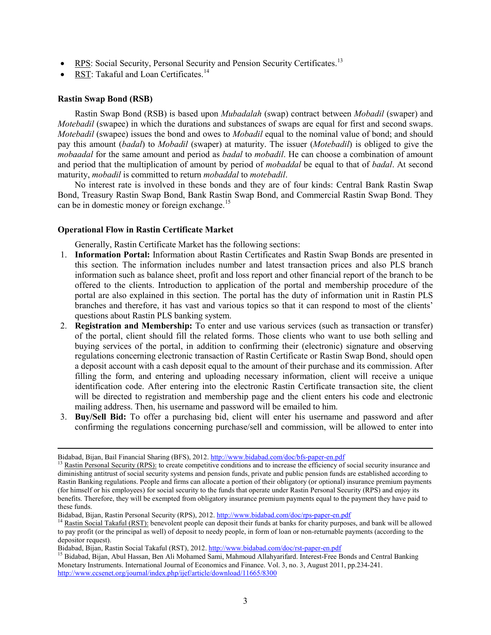- RPS: Social Security, Personal Security and Pension Security Certificates.<sup>[13](#page-2-0)</sup>
- RST: Takaful and Loan Certificates.<sup>[14](#page-2-1)</sup>

#### **Rastin Swap Bond (RSB)**

 $\overline{\phantom{a}}$ 

Rastin Swap Bond (RSB) is based upon *Mubadalah* (swap) contract between *Mobadil* (swaper) and *Motebadil* (swapee) in which the durations and substances of swaps are equal for first and second swaps. *Motebadil* (swapee) issues the bond and owes to *Mobadil* equal to the nominal value of bond; and should pay this amount (*badal*) to *Mobadil* (swaper) at maturity. The issuer (*Motebadil*) is obliged to give the *mobaadal* for the same amount and period as *badal* to *mobadil*. He can choose a combination of amount and period that the multiplication of amount by period of *mobaddal* be equal to that of *badal*. At second maturity, *mobadil* is committed to return *mobaddal* to *motebadil*.

No interest rate is involved in these bonds and they are of four kinds: Central Bank Rastin Swap Bond, Treasury Rastin Swap Bond, Bank Rastin Swap Bond, and Commercial Rastin Swap Bond. They can be in domestic money or foreign exchange.<sup>[15](#page-2-2)</sup>

#### **Operational Flow in Rastin Certificate Market**

Generally, Rastin Certificate Market has the following sections:

- 1. **Information Portal:** Information about Rastin Certificates and Rastin Swap Bonds are presented in this section. The information includes number and latest transaction prices and also PLS branch information such as balance sheet, profit and loss report and other financial report of the branch to be offered to the clients. Introduction to application of the portal and membership procedure of the portal are also explained in this section. The portal has the duty of information unit in Rastin PLS branches and therefore, it has vast and various topics so that it can respond to most of the clients' questions about Rastin PLS banking system.
- 2. **Registration and Membership:** To enter and use various services (such as transaction or transfer) of the portal, client should fill the related forms. Those clients who want to use both selling and buying services of the portal, in addition to confirming their (electronic) signature and observing regulations concerning electronic transaction of Rastin Certificate or Rastin Swap Bond, should open a deposit account with a cash deposit equal to the amount of their purchase and its commission. After filling the form, and entering and uploading necessary information, client will receive a unique identification code. After entering into the electronic Rastin Certificate transaction site, the client will be directed to registration and membership page and the client enters his code and electronic mailing address. Then, his username and password will be emailed to him.
- 3. **Buy/Sell Bid:** To offer a purchasing bid, client will enter his username and password and after confirming the regulations concerning purchase/sell and commission, will be allowed to enter into

<span id="page-2-0"></span>Bidabad, Bijan, Bail Financial Sharing (BFS), 2012[. http://www.bidabad.com/doc/bfs-paper-en.pdf](http://www.bidabad.com/doc/bfs-paper-en.pdf)<br><sup>13</sup> Rastin Personal Security (RPS): to create competitive conditions and to increase the efficiency of social security insura diminishing antitrust of social security systems and pension funds, private and public pension funds are established according to Rastin Banking regulations. People and firms can allocate a portion of their obligatory (or optional) insurance premium payments (for himself or his employees) for social security to the funds that operate under Rastin Personal Security (RPS) and enjoy its benefits. Therefore, they will be exempted from obligatory insurance premium payments equal to the payment they have paid to these funds.<br>Bidabad, Bijan, Rastin Personal Security (RPS), 2012. http://www.bidabad.com/doc/rps-paper-en.pdf

<span id="page-2-1"></span><sup>&</sup>lt;sup>14</sup> Rastin Social Takaful (RST): benevolent people can deposit their funds at banks for charity purposes, and bank will be allowed to pay profit (or the principal as well) of deposit to needy people, in form of loan or non-returnable payments (according to the depositor request).

<span id="page-2-2"></span>Bidabad, Bijan, Rastin Social Takaful (RST), 2012[. http://www.bidabad.com/doc/rst-paper-en.pdf](http://www.bidabad.com/doc/rst-paper-en.pdf)<br><sup>15</sup> Bidabad, Bijan, Abul Hassan, Ben Ali Mohamed Sami, Mahmoud Allahyarifard. Interest-Free Bonds and Central Banking Monetary Instruments. International Journal of Economics and Finance. Vol. 3, no. 3, August 2011, pp.234-241. <http://www.ccsenet.org/journal/index.php/ijef/article/download/11665/8300>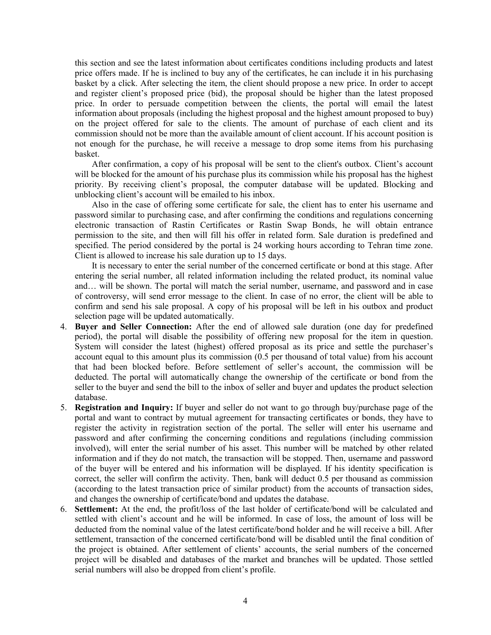this section and see the latest information about certificates conditions including products and latest price offers made. If he is inclined to buy any of the certificates, he can include it in his purchasing basket by a click. After selecting the item, the client should propose a new price. In order to accept and register client's proposed price (bid), the proposal should be higher than the latest proposed price. In order to persuade competition between the clients, the portal will email the latest information about proposals (including the highest proposal and the highest amount proposed to buy) on the project offered for sale to the clients. The amount of purchase of each client and its commission should not be more than the available amount of client account. If his account position is not enough for the purchase, he will receive a message to drop some items from his purchasing basket.

After confirmation, a copy of his proposal will be sent to the client's outbox. Client's account will be blocked for the amount of his purchase plus its commission while his proposal has the highest priority. By receiving client's proposal, the computer database will be updated. Blocking and unblocking client's account will be emailed to his inbox.

Also in the case of offering some certificate for sale, the client has to enter his username and password similar to purchasing case, and after confirming the conditions and regulations concerning electronic transaction of Rastin Certificates or Rastin Swap Bonds, he will obtain entrance permission to the site, and then will fill his offer in related form. Sale duration is predefined and specified. The period considered by the portal is 24 working hours according to Tehran time zone. Client is allowed to increase his sale duration up to 15 days.

It is necessary to enter the serial number of the concerned certificate or bond at this stage. After entering the serial number, all related information including the related product, its nominal value and… will be shown. The portal will match the serial number, username, and password and in case of controversy, will send error message to the client. In case of no error, the client will be able to confirm and send his sale proposal. A copy of his proposal will be left in his outbox and product selection page will be updated automatically.

- 4. **Buyer and Seller Connection:** After the end of allowed sale duration (one day for predefined period), the portal will disable the possibility of offering new proposal for the item in question. System will consider the latest (highest) offered proposal as its price and settle the purchaser's account equal to this amount plus its commission (0.5 per thousand of total value) from his account that had been blocked before. Before settlement of seller's account, the commission will be deducted. The portal will automatically change the ownership of the certificate or bond from the seller to the buyer and send the bill to the inbox of seller and buyer and updates the product selection database.
- 5. **Registration and Inquiry:** If buyer and seller do not want to go through buy/purchase page of the portal and want to contract by mutual agreement for transacting certificates or bonds, they have to register the activity in registration section of the portal. The seller will enter his username and password and after confirming the concerning conditions and regulations (including commission involved), will enter the serial number of his asset. This number will be matched by other related information and if they do not match, the transaction will be stopped. Then, username and password of the buyer will be entered and his information will be displayed. If his identity specification is correct, the seller will confirm the activity. Then, bank will deduct 0.5 per thousand as commission (according to the latest transaction price of similar product) from the accounts of transaction sides, and changes the ownership of certificate/bond and updates the database.
- 6. **Settlement:** At the end, the profit/loss of the last holder of certificate/bond will be calculated and settled with client's account and he will be informed. In case of loss, the amount of loss will be deducted from the nominal value of the latest certificate/bond holder and he will receive a bill. After settlement, transaction of the concerned certificate/bond will be disabled until the final condition of the project is obtained. After settlement of clients' accounts, the serial numbers of the concerned project will be disabled and databases of the market and branches will be updated. Those settled serial numbers will also be dropped from client's profile.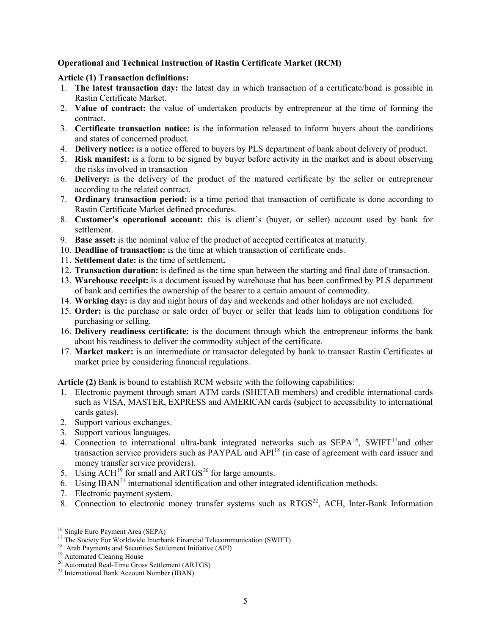# **Operational and Technical Instruction of Rastin Certificate Market (RCM)**

## **Article (1) Transaction definitions:**

- 1. **The latest transaction day:** the latest day in which transaction of a certificate/bond is possible in Rastin Certificate Market.
- 2. **Value of contract:** the value of undertaken products by entrepreneur at the time of forming the contract**.**
- 3. **Certificate transaction notice:** is the information released to inform buyers about the conditions and states of concerned product.
- 4. **Delivery notice:** is a notice offered to buyers by PLS department of bank about delivery of product.
- 5. **Risk manifest:** is a form to be signed by buyer before activity in the market and is about observing the risks involved in transaction
- 6. **Delivery:** is the delivery of the product of the matured certificate by the seller or entrepreneur according to the related contract.
- 7. **Ordinary transaction period:** is a time period that transaction of certificate is done according to Rastin Certificate Market defined procedures.
- 8. **Customer's operational account:** this is client's (buyer, or seller) account used by bank for settlement.
- 9. **Base asset:** is the nominal value of the product of accepted certificates at maturity.
- 10. **Deadline of transaction:** is the time at which transaction of certificate ends.
- 11. **Settlement date:** is the time of settlement**.**
- 12. **Transaction duration:** is defined as the time span between the starting and final date of transaction.
- 13. **Warehouse receipt:** is a document issued by warehouse that has been confirmed by PLS department of bank and certifies the ownership of the bearer to a certain amount of commodity.
- 14. **Working day:** is day and night hours of day and weekends and other holidays are not excluded.
- 15. **Order:** is the purchase or sale order of buyer or seller that leads him to obligation conditions for purchasing or selling.
- 16. **Delivery readiness certificate:** is the document through which the entrepreneur informs the bank about his readiness to deliver the commodity subject of the certificate.
- 17. **Market maker:** is an intermediate or transactor delegated by bank to transact Rastin Certificates at market price by considering financial regulations.

**Article (2)** Bank is bound to establish RCM website with the following capabilities:

- 1. Electronic payment through smart ATM cards (SHETAB members) and credible international cards such as VISA, MASTER, EXPRESS and AMERICAN cards (subject to accessibility to international cards gates).
- 2. Support various exchanges.
- 3. Support various languages.
- 4. Connection to international ultra-bank integrated networks such as  $SEPA<sup>16</sup>$ , SWIFT<sup>17</sup>and other transaction service providers such as PAYPAL and API<sup>[18](#page-4-2)</sup> (in case of agreement with card issuer and money transfer service providers).
- 5. Using  $ACH<sup>19</sup>$  $ACH<sup>19</sup>$  $ACH<sup>19</sup>$  for small and  $ARTGS<sup>20</sup>$  $ARTGS<sup>20</sup>$  $ARTGS<sup>20</sup>$  for large amounts.
- 6. Using IBAN<sup>[21](#page-4-5)</sup> international identification and other integrated identification methods.
- 7. Electronic payment system.
- 8. Connection to electronic money transfer systems such as  $RTGS<sup>22</sup>$ , ACH, Inter-Bank Information

l

<span id="page-4-1"></span><span id="page-4-0"></span><sup>&</sup>lt;sup>16</sup> Single Euro Payment Area (SEPA)<br><sup>17</sup> The Society For Worldwide Interbank Financial Telecommunication (SWIFT)<br><sup>18</sup> Arab Payments and Securities Settlement Initiative (API)<br><sup>19</sup> Automated Clearing House<br><sup>20</sup> Automated

<span id="page-4-2"></span>

<span id="page-4-3"></span>

<span id="page-4-4"></span>

<span id="page-4-5"></span>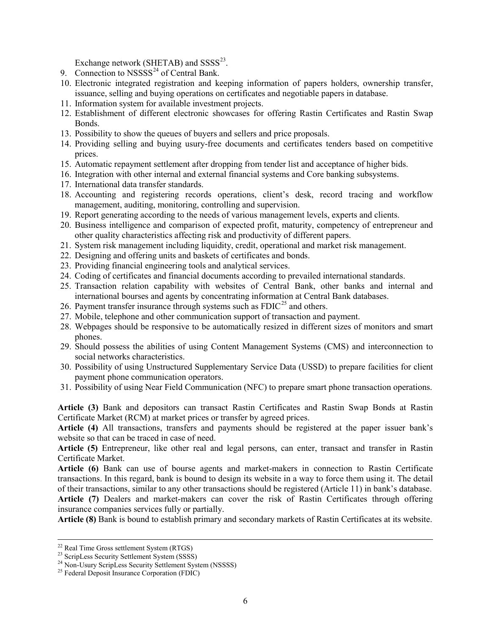Exchange network (SHETAB) and  $SSSS^{23}$ .

- 9. Connection to  $NSSSS<sup>24</sup>$  $NSSSS<sup>24</sup>$  $NSSSS<sup>24</sup>$  of Central Bank.
- 10. Electronic integrated registration and keeping information of papers holders, ownership transfer, issuance, selling and buying operations on certificates and negotiable papers in database.
- 11. Information system for available investment projects.
- 12. Establishment of different electronic showcases for offering Rastin Certificates and Rastin Swap Bonds.
- 13. Possibility to show the queues of buyers and sellers and price proposals.
- 14. Providing selling and buying usury-free documents and certificates tenders based on competitive prices.
- 15. Automatic repayment settlement after dropping from tender list and acceptance of higher bids.
- 16. Integration with other internal and external financial systems and Core banking subsystems.
- 17. International data transfer standards.
- 18. Accounting and registering records operations, client's desk, record tracing and workflow management, auditing, monitoring, controlling and supervision.
- 19. Report generating according to the needs of various management levels, experts and clients.
- 20. Business intelligence and comparison of expected profit, maturity, competency of entrepreneur and other quality characteristics affecting risk and productivity of different papers.
- 21. System risk management including liquidity, credit, operational and market risk management.
- 22. Designing and offering units and baskets of certificates and bonds.
- 23. Providing financial engineering tools and analytical services.
- 24. Coding of certificates and financial documents according to prevailed international standards.
- 25. Transaction relation capability with websites of Central Bank, other banks and internal and international bourses and agents by concentrating information at Central Bank databases.
- 26. Payment transfer insurance through systems such as  $FDIC^{25}$  $FDIC^{25}$  $FDIC^{25}$  and others.
- 27. Mobile, telephone and other communication support of transaction and payment.
- 28. Webpages should be responsive to be automatically resized in different sizes of monitors and smart phones.
- 29. Should possess the abilities of using Content Management Systems (CMS) and interconnection to social networks characteristics.
- 30. Possibility of using Unstructured Supplementary Service Data (USSD) to prepare facilities for client payment phone communication operators.
- 31. Possibility of using Near Field Communication (NFC) to prepare smart phone transaction operations.

**Article (3)** Bank and depositors can transact Rastin Certificates and Rastin Swap Bonds at Rastin Certificate Market (RCM) at market prices or transfer by agreed prices.

**Article (4)** All transactions, transfers and payments should be registered at the paper issuer bank's website so that can be traced in case of need.

**Article (5)** Entrepreneur, like other real and legal persons, can enter, transact and transfer in Rastin Certificate Market.

**Article (6)** Bank can use of bourse agents and market-makers in connection to Rastin Certificate transactions. In this regard, bank is bound to design its website in a way to force them using it. The detail of their transactions, similar to any other transactions should be registered (Article 11) in bank's database. **Article (7)** Dealers and market-makers can cover the risk of Rastin Certificates through offering

insurance companies services fully or partially.

**Article (8)** Bank is bound to establish primary and secondary markets of Rastin Certificates at its website.

<sup>&</sup>lt;sup>22</sup> Real Time Gross settlement System (RTGS)

<span id="page-5-1"></span><span id="page-5-0"></span><sup>&</sup>lt;sup>23</sup> ScripLess Security Settlement System (SSSS)<br>
<sup>24</sup> Non-Usury ScripLess Security Settlement System (NSSSS)<br>
<sup>25</sup> Federal Deposit Insurance Corporation (FDIC)

<span id="page-5-2"></span>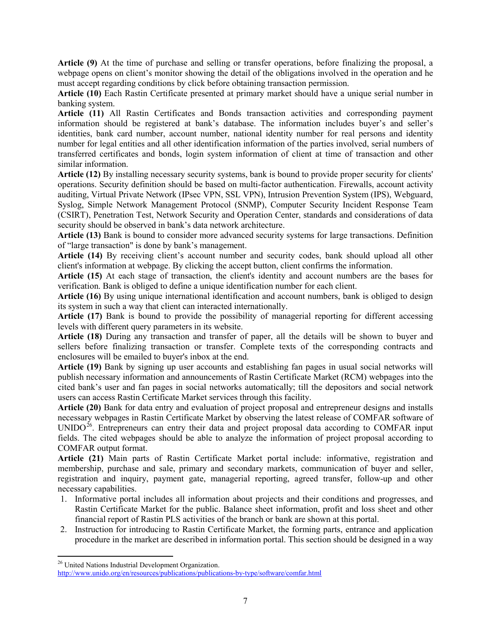**Article (9)** At the time of purchase and selling or transfer operations, before finalizing the proposal, a webpage opens on client's monitor showing the detail of the obligations involved in the operation and he must accept regarding conditions by click before obtaining transaction permission.

**Article (10)** Each Rastin Certificate presented at primary market should have a unique serial number in banking system.

**Article (11)** All Rastin Certificates and Bonds transaction activities and corresponding payment information should be registered at bank's database. The information includes buyer's and seller's identities, bank card number, account number, national identity number for real persons and identity number for legal entities and all other identification information of the parties involved, serial numbers of transferred certificates and bonds, login system information of client at time of transaction and other similar information.

**Article (12)** By installing necessary security systems, bank is bound to provide proper security for clients' operations. Security definition should be based on multi-factor authentication. Firewalls, account activity auditing, Virtual Private Network (IPsec VPN, SSL VPN), Intrusion Prevention System (IPS), Webguard, Syslog, Simple Network Management Protocol (SNMP), Computer Security Incident Response Team (CSIRT), Penetration Test, Network Security and Operation Center, standards and considerations of data security should be observed in bank's data network architecture.

**Article (13)** Bank is bound to consider more advanced security systems for large transactions. Definition of "large transaction" is done by bank's management.

**Article (14)** By receiving client's account number and security codes, bank should upload all other client's information at webpage. By clicking the accept button, client confirms the information.

**Article (15)** At each stage of transaction, the client's identity and account numbers are the bases for verification. Bank is obliged to define a unique identification number for each client.

**Article (16)** By using unique international identification and account numbers, bank is obliged to design its system in such a way that client can interacted internationally.

**Article (17)** Bank is bound to provide the possibility of managerial reporting for different accessing levels with different query parameters in its website.

**Article (18)** During any transaction and transfer of paper, all the details will be shown to buyer and sellers before finalizing transaction or transfer. Complete texts of the corresponding contracts and enclosures will be emailed to buyer's inbox at the end.

**Article (19)** Bank by signing up user accounts and establishing fan pages in usual social networks will publish necessary information and announcements of Rastin Certificate Market (RCM) webpages into the cited bank's user and fan pages in social networks automatically; till the depositors and social network users can access Rastin Certificate Market services through this facility.

**Article (20)** Bank for data entry and evaluation of project proposal and entrepreneur designs and installs necessary webpages in Rastin Certificate Market by observing the latest release of COMFAR software of UNIDO $^{26}$ . Entrepreneurs can entry their data and project proposal data according to COMFAR input fields. The cited webpages should be able to analyze the information of project proposal according to COMFAR output format.

**Article (21)** Main parts of Rastin Certificate Market portal include: informative, registration and membership, purchase and sale, primary and secondary markets, communication of buyer and seller, registration and inquiry, payment gate, managerial reporting, agreed transfer, follow-up and other necessary capabilities.

- 1. Informative portal includes all information about projects and their conditions and progresses, and Rastin Certificate Market for the public. Balance sheet information, profit and loss sheet and other financial report of Rastin PLS activities of the branch or bank are shown at this portal.
- 2. Instruction for introducing to Rastin Certificate Market, the forming parts, entrance and application procedure in the market are described in information portal. This section should be designed in a way

 $\overline{\phantom{a}}$ 

<span id="page-6-0"></span><sup>&</sup>lt;sup>26</sup> United Nations Industrial Development Organization.

<http://www.unido.org/en/resources/publications/publications-by-type/software/comfar.html>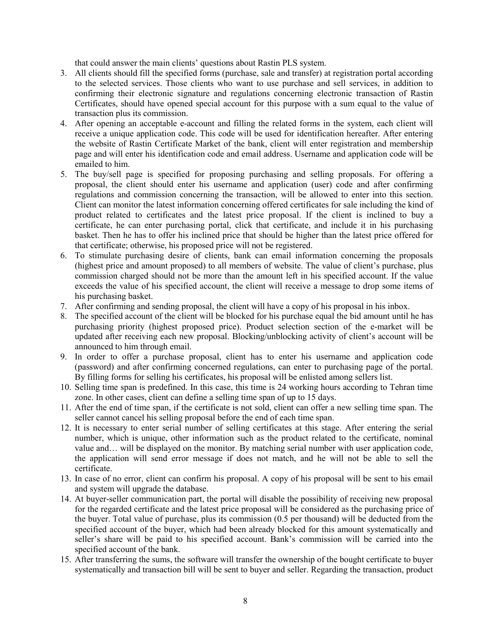that could answer the main clients' questions about Rastin PLS system.

- 3. All clients should fill the specified forms (purchase, sale and transfer) at registration portal according to the selected services. Those clients who want to use purchase and sell services, in addition to confirming their electronic signature and regulations concerning electronic transaction of Rastin Certificates, should have opened special account for this purpose with a sum equal to the value of transaction plus its commission.
- 4. After opening an acceptable e-account and filling the related forms in the system, each client will receive a unique application code. This code will be used for identification hereafter. After entering the website of Rastin Certificate Market of the bank, client will enter registration and membership page and will enter his identification code and email address. Username and application code will be emailed to him.
- 5. The buy/sell page is specified for proposing purchasing and selling proposals. For offering a proposal, the client should enter his username and application (user) code and after confirming regulations and commission concerning the transaction, will be allowed to enter into this section. Client can monitor the latest information concerning offered certificates for sale including the kind of product related to certificates and the latest price proposal. If the client is inclined to buy a certificate, he can enter purchasing portal, click that certificate, and include it in his purchasing basket. Then he has to offer his inclined price that should be higher than the latest price offered for that certificate; otherwise, his proposed price will not be registered.
- 6. To stimulate purchasing desire of clients, bank can email information concerning the proposals (highest price and amount proposed) to all members of website. The value of client's purchase, plus commission charged should not be more than the amount left in his specified account. If the value exceeds the value of his specified account, the client will receive a message to drop some items of his purchasing basket.
- 7. After confirming and sending proposal, the client will have a copy of his proposal in his inbox.
- 8. The specified account of the client will be blocked for his purchase equal the bid amount until he has purchasing priority (highest proposed price). Product selection section of the e-market will be updated after receiving each new proposal. Blocking/unblocking activity of client's account will be announced to him through email.
- 9. In order to offer a purchase proposal, client has to enter his username and application code (password) and after confirming concerned regulations, can enter to purchasing page of the portal. By filling forms for selling his certificates, his proposal will be enlisted among sellers list.
- 10. Selling time span is predefined. In this case, this time is 24 working hours according to Tehran time zone. In other cases, client can define a selling time span of up to 15 days.
- 11. After the end of time span, if the certificate is not sold, client can offer a new selling time span. The seller cannot cancel his selling proposal before the end of each time span.
- 12. It is necessary to enter serial number of selling certificates at this stage. After entering the serial number, which is unique, other information such as the product related to the certificate, nominal value and… will be displayed on the monitor. By matching serial number with user application code, the application will send error message if does not match, and he will not be able to sell the certificate.
- 13. In case of no error, client can confirm his proposal. A copy of his proposal will be sent to his email and system will upgrade the database.
- 14. At buyer-seller communication part, the portal will disable the possibility of receiving new proposal for the regarded certificate and the latest price proposal will be considered as the purchasing price of the buyer. Total value of purchase, plus its commission (0.5 per thousand) will be deducted from the specified account of the buyer, which had been already blocked for this amount systematically and seller's share will be paid to his specified account. Bank's commission will be carried into the specified account of the bank.
- 15. After transferring the sums, the software will transfer the ownership of the bought certificate to buyer systematically and transaction bill will be sent to buyer and seller. Regarding the transaction, product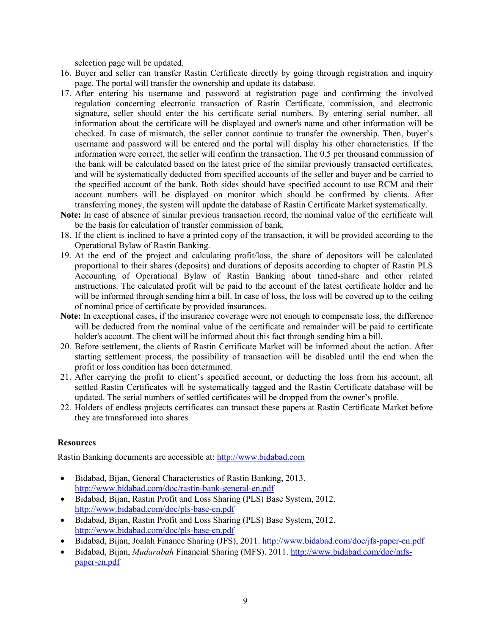selection page will be updated.

- 16. Buyer and seller can transfer Rastin Certificate directly by going through registration and inquiry page. The portal will transfer the ownership and update its database.
- 17. After entering his username and password at registration page and confirming the involved regulation concerning electronic transaction of Rastin Certificate, commission, and electronic signature, seller should enter the his certificate serial numbers. By entering serial number, all information about the certificate will be displayed and owner's name and other information will be checked. In case of mismatch, the seller cannot continue to transfer the ownership. Then, buyer's username and password will be entered and the portal will display his other characteristics. If the information were correct, the seller will confirm the transaction. The 0.5 per thousand commission of the bank will be calculated based on the latest price of the similar previously transacted certificates, and will be systematically deducted from specified accounts of the seller and buyer and be carried to the specified account of the bank. Both sides should have specified account to use RCM and their account numbers will be displayed on monitor which should be confirmed by clients. After transferring money, the system will update the database of Rastin Certificate Market systematically.
- **Note:** In case of absence of similar previous transaction record, the nominal value of the certificate will be the basis for calculation of transfer commission of bank.
- 18. If the client is inclined to have a printed copy of the transaction, it will be provided according to the Operational Bylaw of Rastin Banking.
- 19. At the end of the project and calculating profit/loss, the share of depositors will be calculated proportional to their shares (deposits) and durations of deposits according to chapter of Rastin PLS Accounting of Operational Bylaw of Rastin Banking about timed-share and other related instructions. The calculated profit will be paid to the account of the latest certificate holder and he will be informed through sending him a bill. In case of loss, the loss will be covered up to the ceiling of nominal price of certificate by provided insurances.
- **Note:** In exceptional cases, if the insurance coverage were not enough to compensate loss, the difference will be deducted from the nominal value of the certificate and remainder will be paid to certificate holder's account. The client will be informed about this fact through sending him a bill.
- 20. Before settlement, the clients of Rastin Certificate Market will be informed about the action. After starting settlement process, the possibility of transaction will be disabled until the end when the profit or loss condition has been determined.
- 21. After carrying the profit to client's specified account, or deducting the loss from his account, all settled Rastin Certificates will be systematically tagged and the Rastin Certificate database will be updated. The serial numbers of settled certificates will be dropped from the owner's profile.
- 22. Holders of endless projects certificates can transact these papers at Rastin Certificate Market before they are transformed into shares.

## **Resources**

Rastin Banking documents are accessible at: [http://www.bidabad.com](http://www.bidabad.com/)

- Bidabad, Bijan, General Characteristics of Rastin Banking, 2013. <http://www.bidabad.com/doc/rastin-bank-general-en.pdf>
- Bidabad, Bijan, Rastin Profit and Loss Sharing (PLS) Base System, 2012. <http://www.bidabad.com/doc/pls-base-en.pdf>
- Bidabad, Bijan, Rastin Profit and Loss Sharing (PLS) Base System, 2012. <http://www.bidabad.com/doc/pls-base-en.pdf>
- Bidabad, Bijan, Joalah Finance Sharing (JFS), 2011.<http://www.bidabad.com/doc/jfs-paper-en.pdf>
- Bidabad, Bijan, *Mudarabah* Financial Sharing (MFS). 2011. [http://www.bidabad.com/doc/mfs](http://www.bidabad.com/doc/mfs-paper-en.pdf)[paper-en.pdf](http://www.bidabad.com/doc/mfs-paper-en.pdf)